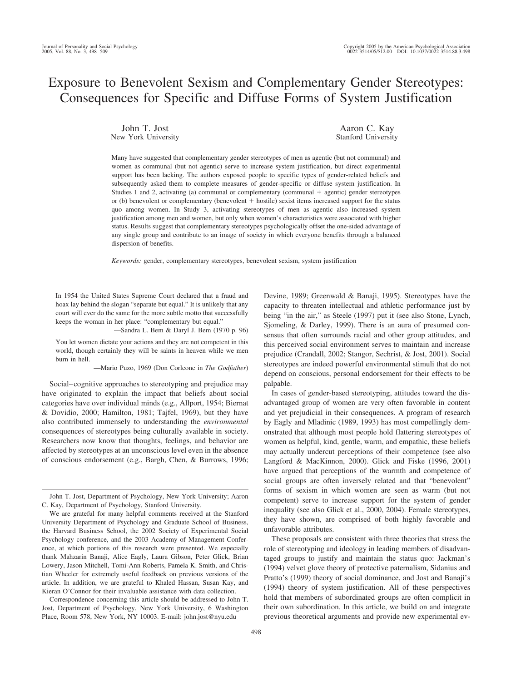# Exposure to Benevolent Sexism and Complementary Gender Stereotypes: Consequences for Specific and Diffuse Forms of System Justification

John T. Jost New York University

Aaron C. Kay Stanford University

Many have suggested that complementary gender stereotypes of men as agentic (but not communal) and women as communal (but not agentic) serve to increase system justification, but direct experimental support has been lacking. The authors exposed people to specific types of gender-related beliefs and subsequently asked them to complete measures of gender-specific or diffuse system justification. In Studies 1 and 2, activating (a) communal or complementary (communal  $+$  agentic) gender stereotypes or (b) benevolent or complementary (benevolent hostile) sexist items increased support for the status quo among women. In Study 3, activating stereotypes of men as agentic also increased system justification among men and women, but only when women's characteristics were associated with higher status. Results suggest that complementary stereotypes psychologically offset the one-sided advantage of any single group and contribute to an image of society in which everyone benefits through a balanced dispersion of benefits.

*Keywords:* gender, complementary stereotypes, benevolent sexism, system justification

In 1954 the United States Supreme Court declared that a fraud and hoax lay behind the slogan "separate but equal." It is unlikely that any court will ever do the same for the more subtle motto that successfully keeps the woman in her place: "complementary but equal."

—Sandra L. Bem & Daryl J. Bem (1970 p. 96)

You let women dictate your actions and they are not competent in this world, though certainly they will be saints in heaven while we men burn in hell.

—Mario Puzo, 1969 (Don Corleone in *The Godfather*)

Social– cognitive approaches to stereotyping and prejudice may have originated to explain the impact that beliefs about social categories have over individual minds (e.g., Allport, 1954; Biernat & Dovidio, 2000; Hamilton, 1981; Tajfel, 1969), but they have also contributed immensely to understanding the *environmental* consequences of stereotypes being culturally available in society. Researchers now know that thoughts, feelings, and behavior are affected by stereotypes at an unconscious level even in the absence of conscious endorsement (e.g., Bargh, Chen, & Burrows, 1996;

Correspondence concerning this article should be addressed to John T. Jost, Department of Psychology, New York University, 6 Washington Place, Room 578, New York, NY 10003. E-mail: john.jost@nyu.edu

Devine, 1989; Greenwald & Banaji, 1995). Stereotypes have the capacity to threaten intellectual and athletic performance just by being "in the air," as Steele (1997) put it (see also Stone, Lynch, Sjomeling, & Darley, 1999). There is an aura of presumed consensus that often surrounds racial and other group attitudes, and this perceived social environment serves to maintain and increase prejudice (Crandall, 2002; Stangor, Sechrist, & Jost, 2001). Social stereotypes are indeed powerful environmental stimuli that do not depend on conscious, personal endorsement for their effects to be palpable.

In cases of gender-based stereotyping, attitudes toward the disadvantaged group of women are very often favorable in content and yet prejudicial in their consequences. A program of research by Eagly and Mladinic (1989, 1993) has most compellingly demonstrated that although most people hold flattering stereotypes of women as helpful, kind, gentle, warm, and empathic, these beliefs may actually undercut perceptions of their competence (see also Langford & MacKinnon, 2000). Glick and Fiske (1996, 2001) have argued that perceptions of the warmth and competence of social groups are often inversely related and that "benevolent" forms of sexism in which women are seen as warm (but not competent) serve to increase support for the system of gender inequality (see also Glick et al., 2000, 2004). Female stereotypes, they have shown, are comprised of both highly favorable and unfavorable attributes.

These proposals are consistent with three theories that stress the role of stereotyping and ideology in leading members of disadvantaged groups to justify and maintain the status quo: Jackman's (1994) velvet glove theory of protective paternalism, Sidanius and Pratto's (1999) theory of social dominance, and Jost and Banaji's (1994) theory of system justification. All of these perspectives hold that members of subordinated groups are often complicit in their own subordination. In this article, we build on and integrate previous theoretical arguments and provide new experimental ev-

John T. Jost, Department of Psychology, New York University; Aaron C. Kay, Department of Psychology, Stanford University.

We are grateful for many helpful comments received at the Stanford University Department of Psychology and Graduate School of Business, the Harvard Business School, the 2002 Society of Experimental Social Psychology conference, and the 2003 Academy of Management Conference, at which portions of this research were presented. We especially thank Mahzarin Banaji, Alice Eagly, Laura Gibson, Peter Glick, Brian Lowery, Jason Mitchell, Tomi-Ann Roberts, Pamela K. Smith, and Christian Wheeler for extremely useful feedback on previous versions of the article. In addition, we are grateful to Khaled Hassan, Susan Kay, and Kieran O'Connor for their invaluable assistance with data collection.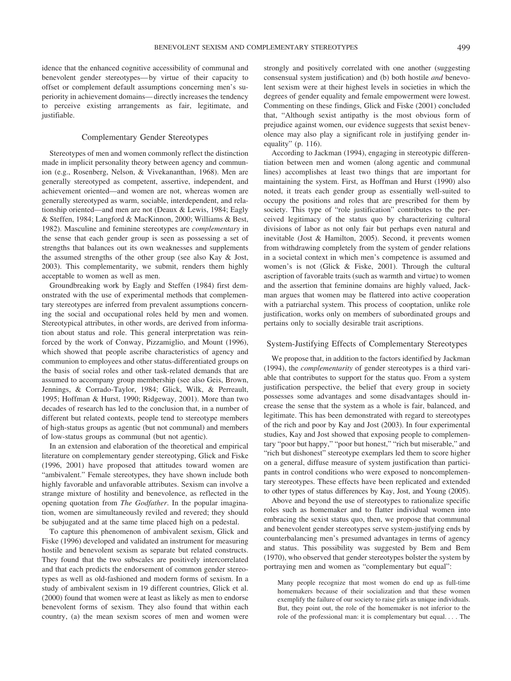idence that the enhanced cognitive accessibility of communal and benevolent gender stereotypes— by virtue of their capacity to offset or complement default assumptions concerning men's superiority in achievement domains— directly increases the tendency to perceive existing arrangements as fair, legitimate, and justifiable.

## Complementary Gender Stereotypes

Stereotypes of men and women commonly reflect the distinction made in implicit personality theory between agency and communion (e.g., Rosenberg, Nelson, & Vivekananthan, 1968). Men are generally stereotyped as competent, assertive, independent, and achievement oriented—and women are not, whereas women are generally stereotyped as warm, sociable, interdependent, and relationship oriented—and men are not (Deaux & Lewis, 1984; Eagly & Steffen, 1984; Langford & MacKinnon, 2000; Williams & Best, 1982). Masculine and feminine stereotypes are *complementary* in the sense that each gender group is seen as possessing a set of strengths that balances out its own weaknesses and supplements the assumed strengths of the other group (see also Kay & Jost, 2003). This complementarity, we submit, renders them highly acceptable to women as well as men.

Groundbreaking work by Eagly and Steffen (1984) first demonstrated with the use of experimental methods that complementary stereotypes are inferred from prevalent assumptions concerning the social and occupational roles held by men and women. Stereotypical attributes, in other words, are derived from information about status and role. This general interpretation was reinforced by the work of Conway, Pizzamiglio, and Mount (1996), which showed that people ascribe characteristics of agency and communion to employees and other status-differentiated groups on the basis of social roles and other task-related demands that are assumed to accompany group membership (see also Geis, Brown, Jennings, & Corrado-Taylor, 1984; Glick, Wilk, & Perreault, 1995; Hoffman & Hurst, 1990; Ridgeway, 2001). More than two decades of research has led to the conclusion that, in a number of different but related contexts, people tend to stereotype members of high-status groups as agentic (but not communal) and members of low-status groups as communal (but not agentic).

In an extension and elaboration of the theoretical and empirical literature on complementary gender stereotyping, Glick and Fiske (1996, 2001) have proposed that attitudes toward women are "ambivalent." Female stereotypes, they have shown include both highly favorable and unfavorable attributes. Sexism can involve a strange mixture of hostility and benevolence, as reflected in the opening quotation from *The Godfather*. In the popular imagination, women are simultaneously reviled and revered; they should be subjugated and at the same time placed high on a pedestal.

To capture this phenomenon of ambivalent sexism, Glick and Fiske (1996) developed and validated an instrument for measuring hostile and benevolent sexism as separate but related constructs. They found that the two subscales are positively intercorrelated and that each predicts the endorsement of common gender stereotypes as well as old-fashioned and modern forms of sexism. In a study of ambivalent sexism in 19 different countries, Glick et al. (2000) found that women were at least as likely as men to endorse benevolent forms of sexism. They also found that within each country, (a) the mean sexism scores of men and women were strongly and positively correlated with one another (suggesting consensual system justification) and (b) both hostile *and* benevolent sexism were at their highest levels in societies in which the degrees of gender equality and female empowerment were lowest. Commenting on these findings, Glick and Fiske (2001) concluded that, "Although sexist antipathy is the most obvious form of prejudice against women, our evidence suggests that sexist benevolence may also play a significant role in justifying gender inequality" (p. 116).

According to Jackman (1994), engaging in stereotypic differentiation between men and women (along agentic and communal lines) accomplishes at least two things that are important for maintaining the system. First, as Hoffman and Hurst (1990) also noted, it treats each gender group as essentially well-suited to occupy the positions and roles that are prescribed for them by society. This type of "role justification" contributes to the perceived legitimacy of the status quo by characterizing cultural divisions of labor as not only fair but perhaps even natural and inevitable (Jost & Hamilton, 2005). Second, it prevents women from withdrawing completely from the system of gender relations in a societal context in which men's competence is assumed and women's is not (Glick & Fiske, 2001). Through the cultural ascription of favorable traits (such as warmth and virtue) to women and the assertion that feminine domains are highly valued, Jackman argues that women may be flattered into active cooperation with a patriarchal system. This process of cooptation, unlike role justification, works only on members of subordinated groups and pertains only to socially desirable trait ascriptions.

## System-Justifying Effects of Complementary Stereotypes

We propose that, in addition to the factors identified by Jackman (1994), the *complementarity* of gender stereotypes is a third variable that contributes to support for the status quo. From a system justification perspective, the belief that every group in society possesses some advantages and some disadvantages should increase the sense that the system as a whole is fair, balanced, and legitimate. This has been demonstrated with regard to stereotypes of the rich and poor by Kay and Jost (2003). In four experimental studies, Kay and Jost showed that exposing people to complementary "poor but happy," "poor but honest," "rich but miserable," and "rich but dishonest" stereotype exemplars led them to score higher on a general, diffuse measure of system justification than participants in control conditions who were exposed to noncomplementary stereotypes. These effects have been replicated and extended to other types of status differences by Kay, Jost, and Young (2005).

Above and beyond the use of stereotypes to rationalize specific roles such as homemaker and to flatter individual women into embracing the sexist status quo, then, we propose that communal and benevolent gender stereotypes serve system-justifying ends by counterbalancing men's presumed advantages in terms of agency and status. This possibility was suggested by Bem and Bem (1970), who observed that gender stereotypes bolster the system by portraying men and women as "complementary but equal":

Many people recognize that most women do end up as full-time homemakers because of their socialization and that these women exemplify the failure of our society to raise girls as unique individuals. But, they point out, the role of the homemaker is not inferior to the role of the professional man: it is complementary but equal. . . . The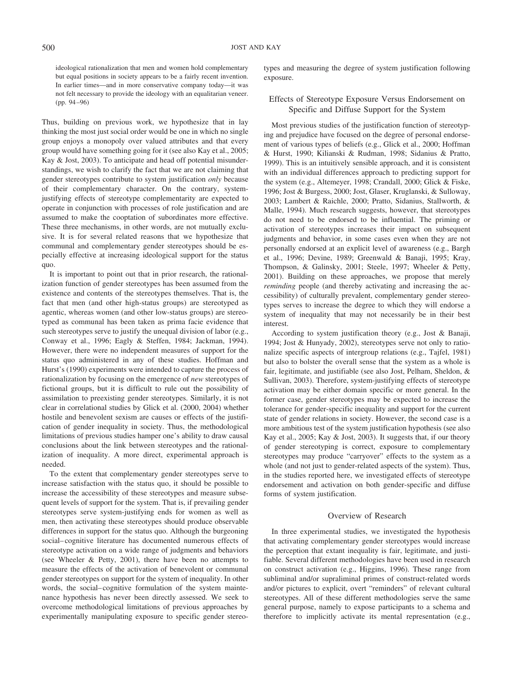ideological rationalization that men and women hold complementary but equal positions in society appears to be a fairly recent invention. In earlier times—and in more conservative company today—it was not felt necessary to provide the ideology with an equalitarian veneer. (pp. 94 –96)

Thus, building on previous work, we hypothesize that in lay thinking the most just social order would be one in which no single group enjoys a monopoly over valued attributes and that every group would have something going for it (see also Kay et al., 2005; Kay & Jost, 2003). To anticipate and head off potential misunderstandings, we wish to clarify the fact that we are not claiming that gender stereotypes contribute to system justification *only* because of their complementary character. On the contrary, systemjustifying effects of stereotype complementarity are expected to operate in conjunction with processes of role justification and are assumed to make the cooptation of subordinates more effective. These three mechanisms, in other words, are not mutually exclusive. It is for several related reasons that we hypothesize that communal and complementary gender stereotypes should be especially effective at increasing ideological support for the status quo.

It is important to point out that in prior research, the rationalization function of gender stereotypes has been assumed from the existence and contents of the stereotypes themselves. That is, the fact that men (and other high-status groups) are stereotyped as agentic, whereas women (and other low-status groups) are stereotyped as communal has been taken as prima facie evidence that such stereotypes serve to justify the unequal division of labor (e.g., Conway et al., 1996; Eagly & Steffen, 1984; Jackman, 1994). However, there were no independent measures of support for the status quo administered in any of these studies. Hoffman and Hurst's (1990) experiments were intended to capture the process of rationalization by focusing on the emergence of *new* stereotypes of fictional groups, but it is difficult to rule out the possibility of assimilation to preexisting gender stereotypes. Similarly, it is not clear in correlational studies by Glick et al. (2000, 2004) whether hostile and benevolent sexism are causes or effects of the justification of gender inequality in society. Thus, the methodological limitations of previous studies hamper one's ability to draw causal conclusions about the link between stereotypes and the rationalization of inequality. A more direct, experimental approach is needed.

To the extent that complementary gender stereotypes serve to increase satisfaction with the status quo, it should be possible to increase the accessibility of these stereotypes and measure subsequent levels of support for the system. That is, if prevailing gender stereotypes serve system-justifying ends for women as well as men, then activating these stereotypes should produce observable differences in support for the status quo. Although the burgeoning social– cognitive literature has documented numerous effects of stereotype activation on a wide range of judgments and behaviors (see Wheeler & Petty, 2001), there have been no attempts to measure the effects of the activation of benevolent or communal gender stereotypes on support for the system of inequality. In other words, the social– cognitive formulation of the system maintenance hypothesis has never been directly assessed. We seek to overcome methodological limitations of previous approaches by experimentally manipulating exposure to specific gender stereotypes and measuring the degree of system justification following exposure.

# Effects of Stereotype Exposure Versus Endorsement on Specific and Diffuse Support for the System

Most previous studies of the justification function of stereotyping and prejudice have focused on the degree of personal endorsement of various types of beliefs (e.g., Glick et al., 2000; Hoffman & Hurst, 1990; Kilianski & Rudman, 1998; Sidanius & Pratto, 1999). This is an intuitively sensible approach, and it is consistent with an individual differences approach to predicting support for the system (e.g., Altemeyer, 1998; Crandall, 2000; Glick & Fiske, 1996; Jost & Burgess, 2000; Jost, Glaser, Kruglanski, & Sulloway, 2003; Lambert & Raichle, 2000; Pratto, Sidanius, Stallworth, & Malle, 1994). Much research suggests, however, that stereotypes do not need to be endorsed to be influential. The priming or activation of stereotypes increases their impact on subsequent judgments and behavior, in some cases even when they are not personally endorsed at an explicit level of awareness (e.g., Bargh et al., 1996; Devine, 1989; Greenwald & Banaji, 1995; Kray, Thompson, & Galinsky, 2001; Steele, 1997; Wheeler & Petty, 2001). Building on these approaches, we propose that merely *reminding* people (and thereby activating and increasing the accessibility) of culturally prevalent, complementary gender stereotypes serves to increase the degree to which they will endorse a system of inequality that may not necessarily be in their best interest.

According to system justification theory (e.g., Jost & Banaji, 1994; Jost & Hunyady, 2002), stereotypes serve not only to rationalize specific aspects of intergroup relations (e.g., Tajfel, 1981) but also to bolster the overall sense that the system as a whole is fair, legitimate, and justifiable (see also Jost, Pelham, Sheldon, & Sullivan, 2003). Therefore, system-justifying effects of stereotype activation may be either domain specific or more general. In the former case, gender stereotypes may be expected to increase the tolerance for gender-specific inequality and support for the current state of gender relations in society. However, the second case is a more ambitious test of the system justification hypothesis (see also Kay et al., 2005; Kay & Jost, 2003). It suggests that, if our theory of gender stereotyping is correct, exposure to complementary stereotypes may produce "carryover" effects to the system as a whole (and not just to gender-related aspects of the system). Thus, in the studies reported here, we investigated effects of stereotype endorsement and activation on both gender-specific and diffuse forms of system justification.

# Overview of Research

In three experimental studies, we investigated the hypothesis that activating complementary gender stereotypes would increase the perception that extant inequality is fair, legitimate, and justifiable. Several different methodologies have been used in research on construct activation (e.g., Higgins, 1996). These range from subliminal and/or supraliminal primes of construct-related words and/or pictures to explicit, overt "reminders" of relevant cultural stereotypes. All of these different methodologies serve the same general purpose, namely to expose participants to a schema and therefore to implicitly activate its mental representation (e.g.,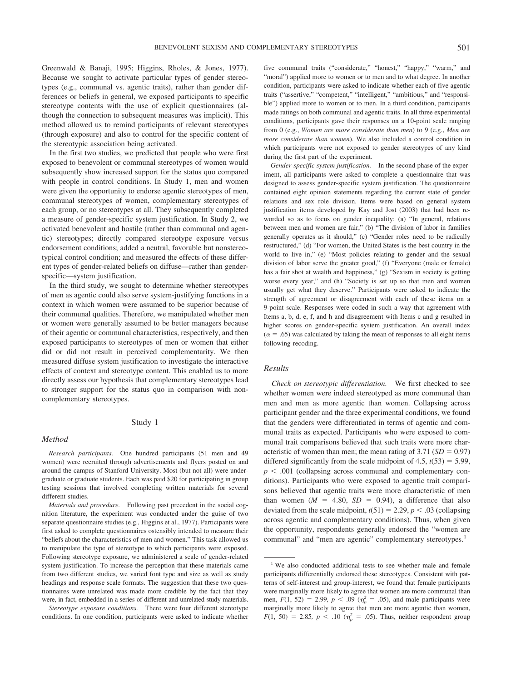Greenwald & Banaji, 1995; Higgins, Rholes, & Jones, 1977). Because we sought to activate particular types of gender stereotypes (e.g., communal vs. agentic traits), rather than gender differences or beliefs in general, we exposed participants to specific stereotype contents with the use of explicit questionnaires (although the connection to subsequent measures was implicit). This method allowed us to remind participants of relevant stereotypes (through exposure) and also to control for the specific content of the stereotypic association being activated.

In the first two studies, we predicted that people who were first exposed to benevolent or communal stereotypes of women would subsequently show increased support for the status quo compared with people in control conditions. In Study 1, men and women were given the opportunity to endorse agentic stereotypes of men, communal stereotypes of women, complementary stereotypes of each group, or no stereotypes at all. They subsequently completed a measure of gender-specific system justification. In Study 2, we activated benevolent and hostile (rather than communal and agentic) stereotypes; directly compared stereotype exposure versus endorsement conditions; added a neutral, favorable but nonstereotypical control condition; and measured the effects of these different types of gender-related beliefs on diffuse—rather than genderspecific—system justification.

In the third study, we sought to determine whether stereotypes of men as agentic could also serve system-justifying functions in a context in which women were assumed to be superior because of their communal qualities. Therefore, we manipulated whether men or women were generally assumed to be better managers because of their agentic or communal characteristics, respectively, and then exposed participants to stereotypes of men or women that either did or did not result in perceived complementarity. We then measured diffuse system justification to investigate the interactive effects of context and stereotype content. This enabled us to more directly assess our hypothesis that complementary stereotypes lead to stronger support for the status quo in comparison with noncomplementary stereotypes.

# Study 1

# *Method*

*Research participants.* One hundred participants (51 men and 49 women) were recruited through advertisements and flyers posted on and around the campus of Stanford University. Most (but not all) were undergraduate or graduate students. Each was paid \$20 for participating in group testing sessions that involved completing written materials for several different studies.

*Materials and procedure.* Following past precedent in the social cognition literature, the experiment was conducted under the guise of two separate questionnaire studies (e.g., Higgins et al., 1977). Participants were first asked to complete questionnaires ostensibly intended to measure their "beliefs about the characteristics of men and women." This task allowed us to manipulate the type of stereotype to which participants were exposed. Following stereotype exposure, we administered a scale of gender-related system justification. To increase the perception that these materials came from two different studies, we varied font type and size as well as study headings and response scale formats. The suggestion that these two questionnaires were unrelated was made more credible by the fact that they were, in fact, embedded in a series of different and unrelated study materials.

*Stereotype exposure conditions.* There were four different stereotype conditions. In one condition, participants were asked to indicate whether five communal traits ("considerate," "honest," "happy," "warm," and "moral") applied more to women or to men and to what degree. In another condition, participants were asked to indicate whether each of five agentic traits ("assertive," "competent," "intelligent," "ambitious," and "responsible") applied more to women or to men. In a third condition, participants made ratings on both communal and agentic traits. In all three experimental conditions, participants gave their responses on a 10-point scale ranging from 0 (e.g., *Women are more considerate than men*) to 9 (e.g., *Men are more considerate than women*). We also included a control condition in which participants were not exposed to gender stereotypes of any kind during the first part of the experiment.

*Gender-specific system justification.* In the second phase of the experiment, all participants were asked to complete a questionnaire that was designed to assess gender-specific system justification. The questionnaire contained eight opinion statements regarding the current state of gender relations and sex role division. Items were based on general system justification items developed by Kay and Jost (2003) that had been reworded so as to focus on gender inequality: (a) "In general, relations between men and women are fair," (b) "The division of labor in families generally operates as it should," (c) "Gender roles need to be radically restructured," (d) "For women, the United States is the best country in the world to live in," (e) "Most policies relating to gender and the sexual division of labor serve the greater good," (f) "Everyone (male or female) has a fair shot at wealth and happiness," (g) "Sexism in society is getting worse every year," and (h) "Society is set up so that men and women usually get what they deserve." Participants were asked to indicate the strength of agreement or disagreement with each of these items on a 9-point scale. Responses were coded in such a way that agreement with Items a, b, d, e, f, and h and disagreement with Items c and g resulted in higher scores on gender-specific system justification. An overall index  $(\alpha = .65)$  was calculated by taking the mean of responses to all eight items following recoding.

# *Results*

*Check on stereotypic differentiation.* We first checked to see whether women were indeed stereotyped as more communal than men and men as more agentic than women. Collapsing across participant gender and the three experimental conditions, we found that the genders were differentiated in terms of agentic and communal traits as expected. Participants who were exposed to communal trait comparisons believed that such traits were more characteristic of women than men; the mean rating of  $3.71$  ( $SD = 0.97$ ) differed significantly from the scale midpoint of  $4.5$ ,  $t(53) = 5.99$ ,  $p < .001$  (collapsing across communal and complementary conditions). Participants who were exposed to agentic trait comparisons believed that agentic traits were more characteristic of men than women  $(M = 4.80, SD = 0.94)$ , a difference that also deviated from the scale midpoint,  $t(51) = 2.29, p < .03$  (collapsing across agentic and complementary conditions). Thus, when given the opportunity, respondents generally endorsed the "women are communal" and "men are agentic" complementary stereotypes.<sup>1</sup>

<sup>&</sup>lt;sup>1</sup> We also conducted additional tests to see whether male and female participants differentially endorsed these stereotypes. Consistent with patterns of self-interest and group-interest, we found that female participants were marginally more likely to agree that women are more communal than men,  $F(1, 52) = 2.99$ ,  $p < .09$  ( $\eta_p^2 = .05$ ), and male participants were marginally more likely to agree that men are more agentic than women,  $F(1, 50) = 2.85$ ,  $p < .10$  ( $\eta_p^2 = .05$ ). Thus, neither respondent group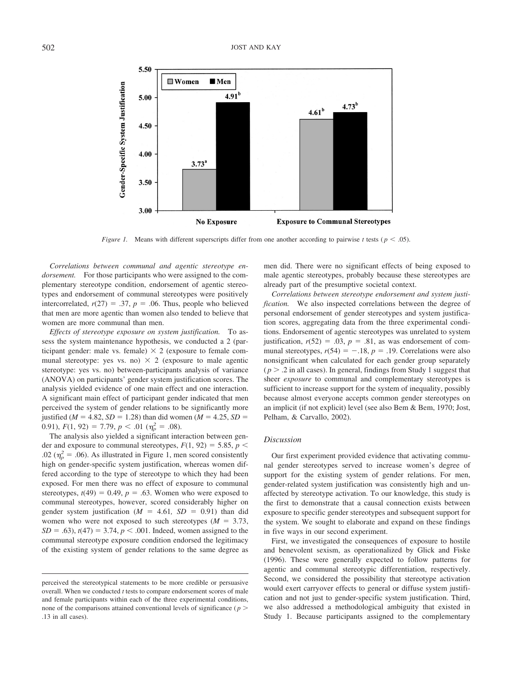

*Figure 1.* Means with different superscripts differ from one another according to pairwise *t* tests ( $p < .05$ ).

*Correlations between communal and agentic stereotype endorsement.* For those participants who were assigned to the complementary stereotype condition, endorsement of agentic stereotypes and endorsement of communal stereotypes were positively intercorrelated,  $r(27) = .37$ ,  $p = .06$ . Thus, people who believed that men are more agentic than women also tended to believe that women are more communal than men.

*Effects of stereotype exposure on system justification.* To assess the system maintenance hypothesis, we conducted a 2 (participant gender: male vs. female)  $\times$  2 (exposure to female communal stereotype: yes vs. no)  $\times$  2 (exposure to male agentic stereotype: yes vs. no) between-participants analysis of variance (ANOVA) on participants' gender system justification scores. The analysis yielded evidence of one main effect and one interaction. A significant main effect of participant gender indicated that men perceived the system of gender relations to be significantly more justified ( $M = 4.82$ ,  $SD = 1.28$ ) than did women ( $M = 4.25$ ,  $SD =$ 0.91),  $F(1, 92) = 7.79$ ,  $p < .01$  ( $\eta_p^2 = .08$ ).

The analysis also yielded a significant interaction between gender and exposure to communal stereotypes,  $F(1, 92) = 5.85$ ,  $p <$ .02 ( $\eta_p^2$  = .06). As illustrated in Figure 1, men scored consistently high on gender-specific system justification, whereas women differed according to the type of stereotype to which they had been exposed. For men there was no effect of exposure to communal stereotypes,  $t(49) = 0.49$ ,  $p = .63$ . Women who were exposed to communal stereotypes, however, scored considerably higher on gender system justification  $(M = 4.61, SD = 0.91)$  than did women who were not exposed to such stereotypes  $(M = 3.73,$  $SD = .63$ ),  $t(47) = 3.74$ ,  $p < .001$ . Indeed, women assigned to the communal stereotype exposure condition endorsed the legitimacy of the existing system of gender relations to the same degree as men did. There were no significant effects of being exposed to male agentic stereotypes, probably because these stereotypes are already part of the presumptive societal context.

*Correlations between stereotype endorsement and system justification.* We also inspected correlations between the degree of personal endorsement of gender stereotypes and system justification scores, aggregating data from the three experimental conditions. Endorsement of agentic stereotypes was unrelated to system justification,  $r(52) = .03$ ,  $p = .81$ , as was endorsement of communal stereotypes,  $r(54) = -.18$ ,  $p = .19$ . Correlations were also nonsignificant when calculated for each gender group separately  $(p > 0.2$  in all cases). In general, findings from Study 1 suggest that sheer *exposure* to communal and complementary stereotypes is sufficient to increase support for the system of inequality, possibly because almost everyone accepts common gender stereotypes on an implicit (if not explicit) level (see also Bem & Bem, 1970; Jost, Pelham, & Carvallo, 2002).

#### *Discussion*

Our first experiment provided evidence that activating communal gender stereotypes served to increase women's degree of support for the existing system of gender relations. For men, gender-related system justification was consistently high and unaffected by stereotype activation. To our knowledge, this study is the first to demonstrate that a causal connection exists between exposure to specific gender stereotypes and subsequent support for the system. We sought to elaborate and expand on these findings in five ways in our second experiment.

First, we investigated the consequences of exposure to hostile and benevolent sexism, as operationalized by Glick and Fiske (1996). These were generally expected to follow patterns for agentic and communal stereotypic differentiation, respectively. Second, we considered the possibility that stereotype activation would exert carryover effects to general or diffuse system justification and not just to gender-specific system justification. Third, we also addressed a methodological ambiguity that existed in Study 1. Because participants assigned to the complementary

perceived the stereotypical statements to be more credible or persuasive overall. When we conducted *t* tests to compare endorsement scores of male and female participants within each of the three experimental conditions, none of the comparisons attained conventional levels of significance ( $p$ ) .13 in all cases).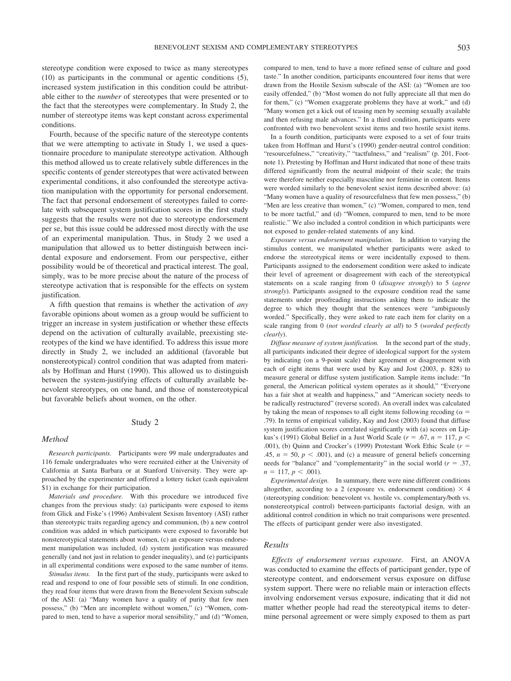stereotype condition were exposed to twice as many stereotypes (10) as participants in the communal or agentic conditions (5), increased system justification in this condition could be attributable either to the *number* of stereotypes that were presented or to the fact that the stereotypes were complementary. In Study 2, the number of stereotype items was kept constant across experimental conditions.

Fourth, because of the specific nature of the stereotype contents that we were attempting to activate in Study 1, we used a questionnaire procedure to manipulate stereotype activation. Although this method allowed us to create relatively subtle differences in the specific contents of gender stereotypes that were activated between experimental conditions, it also confounded the stereotype activation manipulation with the opportunity for personal endorsement. The fact that personal endorsement of stereotypes failed to correlate with subsequent system justification scores in the first study suggests that the results were not due to stereotype endorsement per se, but this issue could be addressed most directly with the use of an experimental manipulation. Thus, in Study 2 we used a manipulation that allowed us to better distinguish between incidental exposure and endorsement. From our perspective, either possibility would be of theoretical and practical interest. The goal, simply, was to be more precise about the nature of the process of stereotype activation that is responsible for the effects on system justification.

A fifth question that remains is whether the activation of *any* favorable opinions about women as a group would be sufficient to trigger an increase in system justification or whether these effects depend on the activation of culturally available, preexisting stereotypes of the kind we have identified. To address this issue more directly in Study 2, we included an additional (favorable but nonstereotypical) control condition that was adapted from materials by Hoffman and Hurst (1990). This allowed us to distinguish between the system-justifying effects of culturally available benevolent stereotypes, on one hand, and those of nonstereotypical but favorable beliefs about women, on the other.

## Study 2

## *Method*

*Research participants.* Participants were 99 male undergraduates and 116 female undergraduates who were recruited either at the University of California at Santa Barbara or at Stanford University. They were approached by the experimenter and offered a lottery ticket (cash equivalent \$1) in exchange for their participation.

*Materials and procedure.* With this procedure we introduced five changes from the previous study: (a) participants were exposed to items from Glick and Fiske's (1996) Ambivalent Sexism Inventory (ASI) rather than stereotypic traits regarding agency and communion, (b) a new control condition was added in which participants were exposed to favorable but nonstereotypical statements about women, (c) an exposure versus endorsement manipulation was included, (d) system justification was measured generally (and not just in relation to gender inequality), and (e) participants in all experimental conditions were exposed to the same number of items.

*Stimulus items.* In the first part of the study, participants were asked to read and respond to one of four possible sets of stimuli. In one condition, they read four items that were drawn from the Benevolent Sexism subscale of the ASI: (a) "Many women have a quality of purity that few men possess," (b) "Men are incomplete without women," (c) "Women, compared to men, tend to have a superior moral sensibility," and (d) "Women,

compared to men, tend to have a more refined sense of culture and good taste." In another condition, participants encountered four items that were drawn from the Hostile Sexism subscale of the ASI: (a) "Women are too easily offended," (b) "Most women do not fully appreciate all that men do for them," (c) "Women exaggerate problems they have at work," and (d) "Many women get a kick out of teasing men by seeming sexually available and then refusing male advances." In a third condition, participants were confronted with two benevolent sexist items and two hostile sexist items.

In a fourth condition, participants were exposed to a set of four traits taken from Hoffman and Hurst's (1990) gender-neutral control condition: "resourcefulness," "creativity," "tactfulness," and "realism" (p. 201, Footnote 1). Pretesting by Hoffman and Hurst indicated that none of these traits differed significantly from the neutral midpoint of their scale; the traits were therefore neither especially masculine nor feminine in content. Items were worded similarly to the benevolent sexist items described above: (a) "Many women have a quality of resourcefulness that few men possess," (b) "Men are less creative than women," (c) "Women, compared to men, tend to be more tactful," and (d) "Women, compared to men, tend to be more realistic." We also included a control condition in which participants were not exposed to gender-related statements of any kind.

*Exposure versus endorsement manipulation.* In addition to varying the stimulus content, we manipulated whether participants were asked to endorse the stereotypical items or were incidentally exposed to them. Participants assigned to the endorsement condition were asked to indicate their level of agreement or disagreement with each of the stereotypical statements on a scale ranging from 0 (*disagree strongly*) to 5 (*agree strongly*). Participants assigned to the exposure condition read the same statements under proofreading instructions asking them to indicate the degree to which they thought that the sentences were "ambiguously worded." Specifically, they were asked to rate each item for clarity on a scale ranging from 0 (*not worded clearly at all*) to 5 (*worded perfectly clearly*).

*Diffuse measure of system justification.* In the second part of the study, all participants indicated their degree of ideological support for the system by indicating (on a 9-point scale) their agreement or disagreement with each of eight items that were used by Kay and Jost (2003, p. 828) to measure general or diffuse system justification. Sample items include: "In general, the American political system operates as it should," "Everyone has a fair shot at wealth and happiness," and "American society needs to be radically restructured" (reverse scored). An overall index was calculated by taking the mean of responses to all eight items following recoding ( $\alpha$  = .79). In terms of empirical validity, Kay and Jost (2003) found that diffuse system justification scores correlated significantly with (a) scores on Lipkus's (1991) Global Belief in a Just World Scale ( $r = .67$ ,  $n = 117$ ,  $p <$ .001), (b) Quinn and Crocker's (1999) Protestant Work Ethic Scale ( $r =$ .45,  $n = 50$ ,  $p < .001$ ), and (c) a measure of general beliefs concerning needs for "balance" and "complementarity" in the social world ( $r = .37$ ,  $n = 117, p < .001$ ).

*Experimental design.* In summary, there were nine different conditions altogether, according to a 2 (exposure vs. endorsement condition)  $\times$  4 (stereotyping condition: benevolent vs. hostile vs. complementary/both vs. nonstereotypical control) between-participants factorial design, with an additional control condition in which no trait comparisons were presented. The effects of participant gender were also investigated.

# *Results*

*Effects of endorsement versus exposure.* First, an ANOVA was conducted to examine the effects of participant gender, type of stereotype content, and endorsement versus exposure on diffuse system support. There were no reliable main or interaction effects involving endorsement versus exposure, indicating that it did not matter whether people had read the stereotypical items to determine personal agreement or were simply exposed to them as part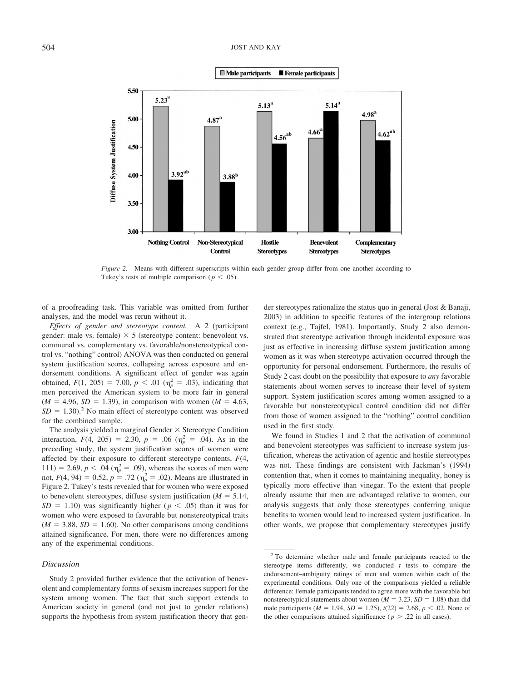#### 504 JOST AND KAY



*Figure 2.* Means with different superscripts within each gender group differ from one another according to Tukey's tests of multiple comparison ( $p < .05$ ).

of a proofreading task. This variable was omitted from further analyses, and the model was rerun without it.

*Effects of gender and stereotype content.* A 2 (participant gender: male vs. female)  $\times$  5 (stereotype content: benevolent vs. communal vs. complementary vs. favorable/nonstereotypical control vs. "nothing" control) ANOVA was then conducted on general system justification scores, collapsing across exposure and endorsement conditions. A significant effect of gender was again obtained,  $F(1, 205) = 7.00$ ,  $p < .01$  ( $\eta_p^2 = .03$ ), indicating that men perceived the American system to be more fair in general  $(M = 4.96, SD = 1.39)$ , in comparison with women  $(M = 4.63,$  $SD = 1.30$ .<sup>2</sup> No main effect of stereotype content was observed for the combined sample.

The analysis yielded a marginal Gender  $\times$  Stereotype Condition interaction,  $F(4, 205) = 2.30$ ,  $p = .06$  ( $\eta_p^2 = .04$ ). As in the preceding study, the system justification scores of women were affected by their exposure to different stereotype contents, *F*(4,  $111$ ) = 2.69, *p* < .04 ( $\eta_p^2$  = .09), whereas the scores of men were not,  $F(4, 94) = 0.52$ ,  $p = .72$  ( $\eta_p^2 = .02$ ). Means are illustrated in Figure 2. Tukey's tests revealed that for women who were exposed to benevolent stereotypes, diffuse system justification  $(M = 5.14,$  $SD = 1.10$ ) was significantly higher ( $p < .05$ ) than it was for women who were exposed to favorable but nonstereotypical traits  $(M = 3.88, SD = 1.60)$ . No other comparisons among conditions attained significance. For men, there were no differences among any of the experimental conditions.

#### *Discussion*

Study 2 provided further evidence that the activation of benevolent and complementary forms of sexism increases support for the system among women. The fact that such support extends to American society in general (and not just to gender relations) supports the hypothesis from system justification theory that gender stereotypes rationalize the status quo in general (Jost & Banaji, 2003) in addition to specific features of the intergroup relations context (e.g., Tajfel, 1981). Importantly, Study 2 also demonstrated that stereotype activation through incidental exposure was just as effective in increasing diffuse system justification among women as it was when stereotype activation occurred through the opportunity for personal endorsement. Furthermore, the results of Study 2 cast doubt on the possibility that exposure to *any* favorable statements about women serves to increase their level of system support. System justification scores among women assigned to a favorable but nonstereotypical control condition did not differ from those of women assigned to the "nothing" control condition used in the first study.

We found in Studies 1 and 2 that the activation of communal and benevolent stereotypes was sufficient to increase system justification, whereas the activation of agentic and hostile stereotypes was not. These findings are consistent with Jackman's (1994) contention that, when it comes to maintaining inequality, honey is typically more effective than vinegar. To the extent that people already assume that men are advantaged relative to women, our analysis suggests that only those stereotypes conferring unique benefits to women would lead to increased system justification. In other words, we propose that complementary stereotypes justify

<sup>2</sup> To determine whether male and female participants reacted to the stereotype items differently, we conducted *t* tests to compare the endorsement–ambiguity ratings of men and women within each of the experimental conditions. Only one of the comparisons yielded a reliable difference: Female participants tended to agree more with the favorable but nonstereotypical statements about women  $(M = 3.23, SD = 1.08)$  than did male participants ( $M = 1.94$ ,  $SD = 1.25$ ),  $t(22) = 2.68$ ,  $p < .02$ . None of the other comparisons attained significance ( $p > .22$  in all cases).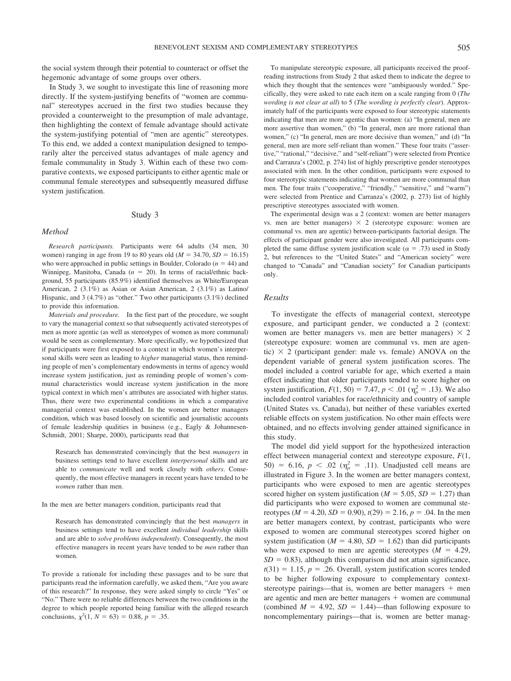the social system through their potential to counteract or offset the hegemonic advantage of some groups over others.

In Study 3, we sought to investigate this line of reasoning more directly. If the system-justifying benefits of "women are communal" stereotypes accrued in the first two studies because they provided a counterweight to the presumption of male advantage, then highlighting the context of female advantage should activate the system-justifying potential of "men are agentic" stereotypes. To this end, we added a context manipulation designed to temporarily alter the perceived status advantages of male agency and female communality in Study 3. Within each of these two comparative contexts, we exposed participants to either agentic male or communal female stereotypes and subsequently measured diffuse system justification.

#### Study 3

## *Method*

*Research participants.* Participants were 64 adults (34 men, 30 women) ranging in age from 19 to 80 years old  $(M = 34.70, SD = 16.15)$ who were approached in public settings in Boulder, Colorado  $(n = 44)$  and Winnipeg, Manitoba, Canada  $(n = 20)$ . In terms of racial/ethnic background, 55 participants (85.9%) identified themselves as White/European American, 2 (3.1%) as Asian or Asian American, 2 (3.1%) as Latino/ Hispanic, and 3 (4.7%) as "other." Two other participants (3.1%) declined to provide this information.

*Materials and procedure.* In the first part of the procedure, we sought to vary the managerial context so that subsequently activated stereotypes of men as more agentic (as well as stereotypes of women as more communal) would be seen as complementary. More specifically, we hypothesized that if participants were first exposed to a context in which women's interpersonal skills were seen as leading to *higher* managerial status, then reminding people of men's complementary endowments in terms of agency would increase system justification, just as reminding people of women's communal characteristics would increase system justification in the more typical context in which men's attributes are associated with higher status. Thus, there were two experimental conditions in which a comparative managerial context was established. In the women are better managers condition, which was based loosely on scientific and journalistic accounts of female leadership qualities in business (e.g., Eagly & Johannesen-Schmidt, 2001; Sharpe, 2000), participants read that

Research has demonstrated convincingly that the best *managers* in business settings tend to have excellent *interpersonal* skills and are able to *communicate* well and work closely with *others*. Consequently, the most effective managers in recent years have tended to be *women* rather than men.

In the men are better managers condition, participants read that

Research has demonstrated convincingly that the best *managers* in business settings tend to have excellent *individual leadership* skills and are able to *solve problems independently.* Consequently, the most effective managers in recent years have tended to be *men* rather than women.

To provide a rationale for including these passages and to be sure that participants read the information carefully, we asked them, "Are you aware of this research?" In response, they were asked simply to circle "Yes" or "No." There were no reliable differences between the two conditions in the degree to which people reported being familiar with the alleged research conclusions,  $\chi^2(1, N = 63) = 0.88, p = .35$ .

To manipulate stereotypic exposure, all participants received the proofreading instructions from Study 2 that asked them to indicate the degree to which they thought that the sentences were "ambiguously worded." Specifically, they were asked to rate each item on a scale ranging from 0 (*The wording is not clear at all*) to 5 (*The wording is perfectly clear*). Approximately half of the participants were exposed to four stereotypic statements indicating that men are more agentic than women: (a) "In general, men are more assertive than women," (b) "In general, men are more rational than women," (c) "In general, men are more decisive than women," and (d) "In general, men are more self-reliant than women." These four traits ("assertive," "rational," "decisive," and "self-reliant") were selected from Prentice and Carranza's (2002, p. 274) list of highly prescriptive gender stereotypes associated with men. In the other condition, participants were exposed to four stereotypic statements indicating that women are more communal than men. The four traits ("cooperative," "friendly," "sensitive," and "warm") were selected from Prentice and Carranza's (2002, p. 273) list of highly prescriptive stereotypes associated with women.

The experimental design was a 2 (context: women are better managers vs. men are better managers)  $\times$  2 (stereotype exposure: women are communal vs. men are agentic) between-participants factorial design. The effects of participant gender were also investigated. All participants completed the same diffuse system justification scale ( $\alpha = .73$ ) used in Study 2, but references to the "United States" and "American society" were changed to "Canada" and "Canadian society" for Canadian participants only.

#### *Results*

To investigate the effects of managerial context, stereotype exposure, and participant gender, we conducted a 2 (context: women are better managers vs. men are better managers)  $\times$  2 (stereotype exposure: women are communal vs. men are agentic)  $\times$  2 (participant gender: male vs. female) ANOVA on the dependent variable of general system justification scores. The model included a control variable for age, which exerted a main effect indicating that older participants tended to score higher on system justification,  $F(1, 50) = 7.47$ ,  $p < .01$  ( $\eta_p^2 = .13$ ). We also included control variables for race/ethnicity and country of sample (United States vs. Canada), but neither of these variables exerted reliable effects on system justification. No other main effects were obtained, and no effects involving gender attained significance in this study.

The model did yield support for the hypothesized interaction effect between managerial context and stereotype exposure, *F*(1, 50) = 6.16,  $p < .02$  ( $\eta_p^2 = .11$ ). Unadjusted cell means are illustrated in Figure 3. In the women are better managers context, participants who were exposed to men are agentic stereotypes scored higher on system justification ( $M = 5.05$ ,  $SD = 1.27$ ) than did participants who were exposed to women are communal stereotypes ( $M = 4.20$ ,  $SD = 0.90$ ),  $t(29) = 2.16$ ,  $p = .04$ . In the men are better managers context, by contrast, participants who were exposed to women are communal stereotypes scored higher on system justification ( $M = 4.80$ ,  $SD = 1.62$ ) than did participants who were exposed to men are agentic stereotypes  $(M = 4.29,$  $SD = 0.83$ ), although this comparison did not attain significance,  $t(31) = 1.15$ ,  $p = .26$ . Overall, system justification scores tended to be higher following exposure to complementary contextstereotype pairings—that is, women are better managers  $+$  men are agentic and men are better managers  $+$  women are communal (combined  $M = 4.92$ ,  $SD = 1.44$ )—than following exposure to noncomplementary pairings—that is, women are better manag-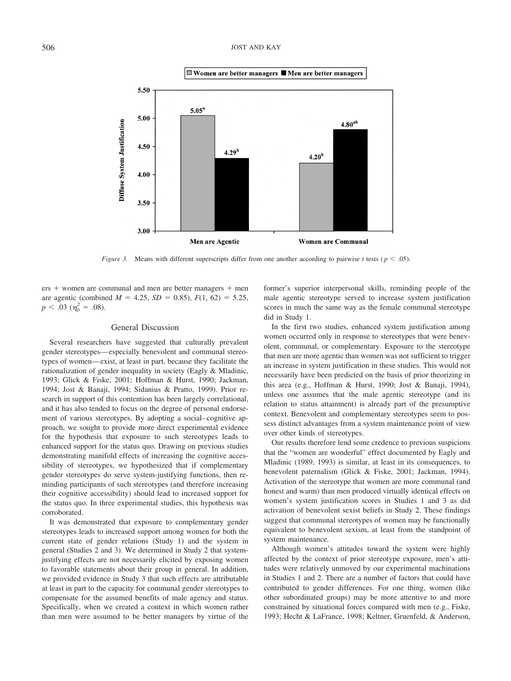#### 506 JOST AND KAY



*Figure 3.* Means with different superscripts differ from one another according to pairwise *t* tests ( $p < .05$ ).

 $ers + women$  are communal and men are better managers  $+$  men are agentic (combined  $M = 4.25$ ,  $SD = 0.85$ ),  $F(1, 62) = 5.25$ ,  $p < .03$  ( $\eta_p^2 = .08$ ).

## General Discussion

Several researchers have suggested that culturally prevalent gender stereotypes— especially benevolent and communal stereotypes of women— exist, at least in part, because they facilitate the rationalization of gender inequality in society (Eagly & Mladinic, 1993; Glick & Fiske, 2001; Hoffman & Hurst, 1990; Jackman, 1994; Jost & Banaji, 1994; Sidanius & Pratto, 1999). Prior research in support of this contention has been largely correlational, and it has also tended to focus on the degree of personal endorsement of various stereotypes. By adopting a social– cognitive approach, we sought to provide more direct experimental evidence for the hypothesis that exposure to such stereotypes leads to enhanced support for the status quo. Drawing on previous studies demonstrating manifold effects of increasing the cognitive accessibility of stereotypes, we hypothesized that if complementary gender stereotypes do serve system-justifying functions, then reminding participants of such stereotypes (and therefore increasing their cognitive accessibility) should lead to increased support for the status quo. In three experimental studies, this hypothesis was corroborated.

It was demonstrated that exposure to complementary gender stereotypes leads to increased support among women for both the current state of gender relations (Study 1) and the system in general (Studies 2 and 3). We determined in Study 2 that systemjustifying effects are not necessarily elicited by exposing women to favorable statements about their group in general. In addition, we provided evidence in Study 3 that such effects are attributable at least in part to the capacity for communal gender stereotypes to compensate for the assumed benefits of male agency and status. Specifically, when we created a context in which women rather than men were assumed to be better managers by virtue of the former's superior interpersonal skills, reminding people of the male agentic stereotype served to increase system justification scores in much the same way as the female communal stereotype did in Study 1.

In the first two studies, enhanced system justification among women occurred only in response to stereotypes that were benevolent, communal, or complementary. Exposure to the stereotype that men are more agentic than women was not sufficient to trigger an increase in system justification in these studies. This would not necessarily have been predicted on the basis of prior theorizing in this area (e.g., Hoffman & Hurst, 1990; Jost & Banaji, 1994), unless one assumes that the male agentic stereotype (and its relation to status attainment) is already part of the presumptive context. Benevolent and complementary stereotypes seem to possess distinct advantages from a system maintenance point of view over other kinds of stereotypes.

Our results therefore lend some credence to previous suspicions that the "women are wonderful" effect documented by Eagly and Mladinic (1989, 1993) is similar, at least in its consequences, to benevolent paternalism (Glick & Fiske, 2001; Jackman, 1994). Activation of the stereotype that women are more communal (and honest and warm) than men produced virtually identical effects on women's system justification scores in Studies 1 and 3 as did activation of benevolent sexist beliefs in Study 2. These findings suggest that communal stereotypes of women may be functionally equivalent to benevolent sexism, at least from the standpoint of system maintenance.

Although women's attitudes toward the system were highly affected by the context of prior stereotype exposure, men's attitudes were relatively unmoved by our experimental machinations in Studies 1 and 2. There are a number of factors that could have contributed to gender differences. For one thing, women (like other subordinated groups) may be more attentive to and more constrained by situational forces compared with men (e.g., Fiske, 1993; Hecht & LaFrance, 1998; Keltner, Gruenfeld, & Anderson,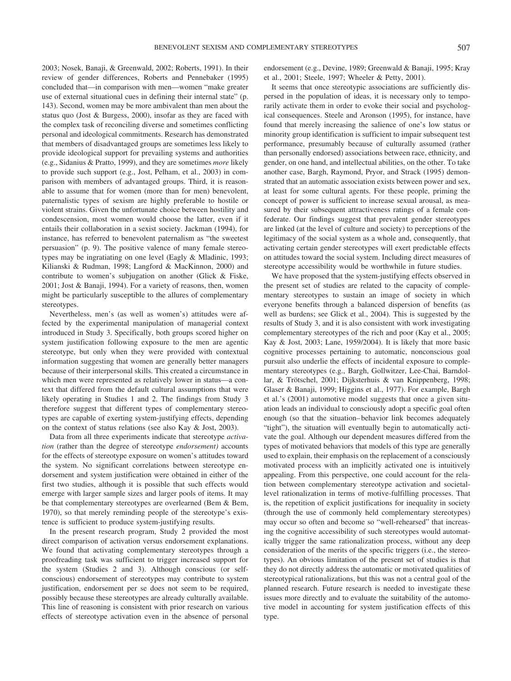2003; Nosek, Banaji, & Greenwald, 2002; Roberts, 1991). In their review of gender differences, Roberts and Pennebaker (1995) concluded that—in comparison with men—women "make greater use of external situational cues in defining their internal state" (p. 143). Second, women may be more ambivalent than men about the status quo (Jost & Burgess, 2000), insofar as they are faced with the complex task of reconciling diverse and sometimes conflicting personal and ideological commitments. Research has demonstrated that members of disadvantaged groups are sometimes less likely to provide ideological support for prevailing systems and authorities (e.g., Sidanius & Pratto, 1999), and they are sometimes *more* likely to provide such support (e.g., Jost, Pelham, et al., 2003) in comparison with members of advantaged groups. Third, it is reasonable to assume that for women (more than for men) benevolent, paternalistic types of sexism are highly preferable to hostile or violent strains. Given the unfortunate choice between hostility and condescension, most women would choose the latter, even if it entails their collaboration in a sexist society. Jackman (1994), for instance, has referred to benevolent paternalism as "the sweetest persuasion" (p. 9). The positive valence of many female stereotypes may be ingratiating on one level (Eagly & Mladinic, 1993; Kilianski & Rudman, 1998; Langford & MacKinnon, 2000) and contribute to women's subjugation on another (Glick & Fiske, 2001; Jost & Banaji, 1994). For a variety of reasons, then, women might be particularly susceptible to the allures of complementary stereotypes.

Nevertheless, men's (as well as women's) attitudes were affected by the experimental manipulation of managerial context introduced in Study 3. Specifically, both groups scored higher on system justification following exposure to the men are agentic stereotype, but only when they were provided with contextual information suggesting that women are generally better managers because of their interpersonal skills. This created a circumstance in which men were represented as relatively lower in status—a context that differed from the default cultural assumptions that were likely operating in Studies 1 and 2. The findings from Study 3 therefore suggest that different types of complementary stereotypes are capable of exerting system-justifying effects, depending on the context of status relations (see also Kay & Jost, 2003).

Data from all three experiments indicate that stereotype *activation* (rather than the degree of stereotype *endorsement)* accounts for the effects of stereotype exposure on women's attitudes toward the system. No significant correlations between stereotype endorsement and system justification were obtained in either of the first two studies, although it is possible that such effects would emerge with larger sample sizes and larger pools of items. It may be that complementary stereotypes are overlearned (Bem & Bem, 1970), so that merely reminding people of the stereotype's existence is sufficient to produce system-justifying results.

In the present research program, Study 2 provided the most direct comparison of activation versus endorsement explanations. We found that activating complementary stereotypes through a proofreading task was sufficient to trigger increased support for the system (Studies 2 and 3). Although conscious (or selfconscious) endorsement of stereotypes may contribute to system justification, endorsement per se does not seem to be required, possibly because these stereotypes are already culturally available. This line of reasoning is consistent with prior research on various effects of stereotype activation even in the absence of personal endorsement (e.g., Devine, 1989; Greenwald & Banaji, 1995; Kray et al., 2001; Steele, 1997; Wheeler & Petty, 2001).

It seems that once stereotypic associations are sufficiently dispersed in the population of ideas, it is necessary only to temporarily activate them in order to evoke their social and psychological consequences. Steele and Aronson (1995), for instance, have found that merely increasing the salience of one's low status or minority group identification is sufficient to impair subsequent test performance, presumably because of culturally assumed (rather than personally endorsed) associations between race, ethnicity, and gender, on one hand, and intellectual abilities, on the other. To take another case, Bargh, Raymond, Pryor, and Strack (1995) demonstrated that an automatic association exists between power and sex, at least for some cultural agents. For these people, priming the concept of power is sufficient to increase sexual arousal, as measured by their subsequent attractiveness ratings of a female confederate. Our findings suggest that prevalent gender stereotypes are linked (at the level of culture and society) to perceptions of the legitimacy of the social system as a whole and, consequently, that activating certain gender stereotypes will exert predictable effects on attitudes toward the social system. Including direct measures of stereotype accessibility would be worthwhile in future studies.

We have proposed that the system-justifying effects observed in the present set of studies are related to the capacity of complementary stereotypes to sustain an image of society in which everyone benefits through a balanced dispersion of benefits (as well as burdens; see Glick et al., 2004). This is suggested by the results of Study 3, and it is also consistent with work investigating complementary stereotypes of the rich and poor (Kay et al., 2005; Kay & Jost, 2003; Lane, 1959/2004). It is likely that more basic cognitive processes pertaining to automatic, nonconscious goal pursuit also underlie the effects of incidental exposure to complementary stereotypes (e.g., Bargh, Gollwitzer, Lee-Chai, Barndollar, & Trötschel, 2001; Dijksterhuis & van Knippenberg, 1998; Glaser & Banaji, 1999; Higgins et al., 1977). For example, Bargh et al.'s (2001) automotive model suggests that once a given situation leads an individual to consciously adopt a specific goal often enough (so that the situation– behavior link becomes adequately "tight"), the situation will eventually begin to automatically activate the goal. Although our dependent measures differed from the types of motivated behaviors that models of this type are generally used to explain, their emphasis on the replacement of a consciously motivated process with an implicitly activated one is intuitively appealing. From this perspective, one could account for the relation between complementary stereotype activation and societallevel rationalization in terms of motive-fulfilling processes. That is, the repetition of explicit justifications for inequality in society (through the use of commonly held complementary stereotypes) may occur so often and become so "well-rehearsed" that increasing the cognitive accessibility of such stereotypes would automatically trigger the same rationalization process, without any deep consideration of the merits of the specific triggers (i.e., the stereotypes). An obvious limitation of the present set of studies is that they do not directly address the automatic or motivated qualities of stereotypical rationalizations, but this was not a central goal of the planned research. Future research is needed to investigate these issues more directly and to evaluate the suitability of the automotive model in accounting for system justification effects of this type.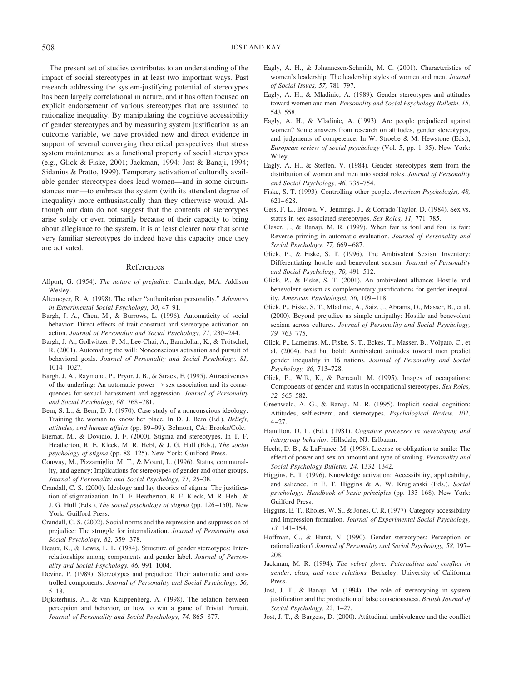The present set of studies contributes to an understanding of the impact of social stereotypes in at least two important ways. Past research addressing the system-justifying potential of stereotypes has been largely correlational in nature, and it has often focused on explicit endorsement of various stereotypes that are assumed to rationalize inequality. By manipulating the cognitive accessibility of gender stereotypes and by measuring system justification as an outcome variable, we have provided new and direct evidence in support of several converging theoretical perspectives that stress system maintenance as a functional property of social stereotypes (e.g., Glick & Fiske, 2001; Jackman, 1994; Jost & Banaji, 1994; Sidanius & Pratto, 1999). Temporary activation of culturally available gender stereotypes does lead women—and in some circumstances men—to embrace the system (with its attendant degree of inequality) more enthusiastically than they otherwise would. Although our data do not suggest that the contents of stereotypes arise solely or even primarily because of their capacity to bring about allegiance to the system, it is at least clearer now that some very familiar stereotypes do indeed have this capacity once they are activated.

#### References

Allport, G. (1954). *The nature of prejudice.* Cambridge, MA: Addison Wesley.

- Altemeyer, R. A. (1998). The other "authoritarian personality." *Advances in Experimental Social Psychology, 30,* 47–91.
- Bargh, J. A., Chen, M., & Burrows, L. (1996). Automaticity of social behavior: Direct effects of trait construct and stereotype activation on action. *Journal of Personality and Social Psychology, 71,* 230 –244.
- Bargh, J. A., Gollwitzer, P. M., Lee-Chai, A., Barndollar, K., & Trötschel, R. (2001). Automating the will: Nonconscious activation and pursuit of behavioral goals. *Journal of Personality and Social Psychology, 81,* 1014 –1027*.*
- Bargh, J. A., Raymond, P., Pryor, J. B., & Strack, F. (1995). Attractiveness of the underling: An automatic power  $\rightarrow$  sex association and its consequences for sexual harassment and aggression. *Journal of Personality and Social Psychology, 68,* 768 –781.
- Bem, S. L., & Bem, D. J. (1970). Case study of a nonconscious ideology: Training the woman to know her place. In D. J. Bem (Ed.), *Beliefs, attitudes, and human affairs* (pp. 89 –99). Belmont, CA: Brooks/Cole.
- Biernat, M., & Dovidio, J. F. (2000). Stigma and stereotypes. In T. F. Heatherton, R. E. Kleck, M. R. Hebl, & J. G. Hull (Eds.), *The social psychology of stigma* (pp. 88 –125). New York: Guilford Press.
- Conway, M., Pizzamiglio, M. T., & Mount, L. (1996). Status, communality, and agency: Implications for stereotypes of gender and other groups. *Journal of Personality and Social Psychology, 71,* 25–38.
- Crandall, C. S. (2000). Ideology and lay theories of stigma: The justification of stigmatization. In T. F. Heatherton, R. E. Kleck, M. R. Hebl, & J. G. Hull (Eds.), *The social psychology of stigma* (pp. 126 –150). New York: Guilford Press.
- Crandall, C. S. (2002). Social norms and the expression and suppression of prejudice: The struggle for internalization. *Journal of Personality and Social Psychology, 82,* 359 –378.
- Deaux, K., & Lewis, L. L. (1984). Structure of gender stereotypes: Interrelationships among components and gender label. *Journal of Personality and Social Psychology, 46,* 991–1004.
- Devine, P. (1989). Stereotypes and prejudice: Their automatic and controlled components. *Journal of Personality and Social Psychology, 56,* 5–18.
- Dijksterhuis, A., & van Knippenberg, A. (1998). The relation between perception and behavior, or how to win a game of Trivial Pursuit. *Journal of Personality and Social Psychology, 74,* 865– 877.
- Eagly, A. H., & Johannesen-Schmidt, M. C. (2001). Characteristics of women's leadership: The leadership styles of women and men. *Journal of Social Issues, 57,* 781–797.
- Eagly, A. H., & Mladinic, A. (1989). Gender stereotypes and attitudes toward women and men. *Personality and Social Psychology Bulletin, 15,* 543–558.
- Eagly, A. H., & Mladinic, A. (1993). Are people prejudiced against women? Some answers from research on attitudes, gender stereotypes, and judgments of competence. In W. Stroebe & M. Hewstone (Eds.), *European review of social psychology* (Vol. 5, pp. 1–35). New York: Wiley.
- Eagly, A. H., & Steffen, V. (1984). Gender stereotypes stem from the distribution of women and men into social roles. *Journal of Personality and Social Psychology, 46,* 735–754.
- Fiske, S. T. (1993). Controlling other people. *American Psychologist, 48,*  $621 - 628.$
- Geis, F. L., Brown, V., Jennings, J., & Corrado-Taylor, D. (1984). Sex vs. status in sex-associated stereotypes. *Sex Roles, 11,* 771–785.
- Glaser, J., & Banaji, M. R. (1999). When fair is foul and foul is fair: Reverse priming in automatic evaluation. *Journal of Personality and Social Psychology, 77,* 669 – 687.
- Glick, P., & Fiske, S. T. (1996). The Ambivalent Sexism Inventory: Differentiating hostile and benevolent sexism. *Journal of Personality and Social Psychology, 70,* 491–512.
- Glick, P., & Fiske, S. T. (2001). An ambivalent alliance: Hostile and benevolent sexism as complementary justifications for gender inequality. *American Psychologist, 56,* 109 –118.
- Glick, P., Fiske, S. T., Mladinic, A., Saiz, J., Abrams, D., Masser, B., et al. (2000). Beyond prejudice as simple antipathy: Hostile and benevolent sexism across cultures. *Journal of Personality and Social Psychology, 79,* 763–775.
- Glick, P., Lameiras, M., Fiske, S. T., Eckes, T., Masser, B., Volpato, C., et al. (2004). Bad but bold: Ambivalent attitudes toward men predict gender inequality in 16 nations. *Journal of Personality and Social Psychology, 86,* 713–728.
- Glick, P., Wilk, K., & Perreault, M. (1995). Images of occupations: Components of gender and status in occupational stereotypes. *Sex Roles, 32,* 565–582.
- Greenwald, A. G., & Banaji, M. R. (1995). Implicit social cognition: Attitudes, self-esteem, and stereotypes. *Psychological Review, 102,*  $4 - 27.$
- Hamilton, D. L. (Ed.). (1981). *Cognitive processes in stereotyping and intergroup behavior.* Hillsdale, NJ: Erlbaum.
- Hecht, D. B., & LaFrance, M. (1998). License or obligation to smile: The effect of power and sex on amount and type of smiling. *Personality and Social Psychology Bulletin, 24,* 1332–1342.
- Higgins, E. T. (1996). Knowledge activation: Accessibility, applicability, and salience. In E. T. Higgins & A. W. Kruglanski (Eds.), *Social psychology: Handbook of basic principles* (pp. 133–168). New York: Guilford Press.
- Higgins, E. T., Rholes, W. S., & Jones, C. R. (1977). Category accessibility and impression formation. *Journal of Experimental Social Psychology, 13,* 141–154.
- Hoffman, C., & Hurst, N. (1990). Gender stereotypes: Perception or rationalization? *Journal of Personality and Social Psychology, 58,* 197– 208.
- Jackman, M. R. (1994). *The velvet glove: Paternalism and conflict in gender, class, and race relations.* Berkeley: University of California Press.
- Jost, J. T., & Banaji, M. (1994). The role of stereotyping in system justification and the production of false consciousness. *British Journal of Social Psychology, 22,* 1–27.
- Jost, J. T., & Burgess, D. (2000). Attitudinal ambivalence and the conflict